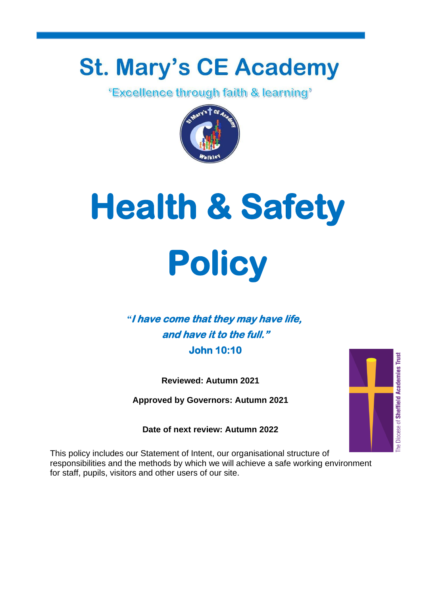## **St. Mary's CE Academy**

*<u>'Excellence through faith & learning'*</u>



# **Health & Safety Policy**

#### *"***I have come that they may have life, and have it to the full." John 10:10**

**Reviewed: Autumn 2021**

**Approved by Governors: Autumn 2021**

**Date of next review: Autumn 2022**

This policy includes our Statement of Intent, our organisational structure of responsibilities and the methods by which we will achieve a safe working environment for staff, pupils, visitors and other users of our site.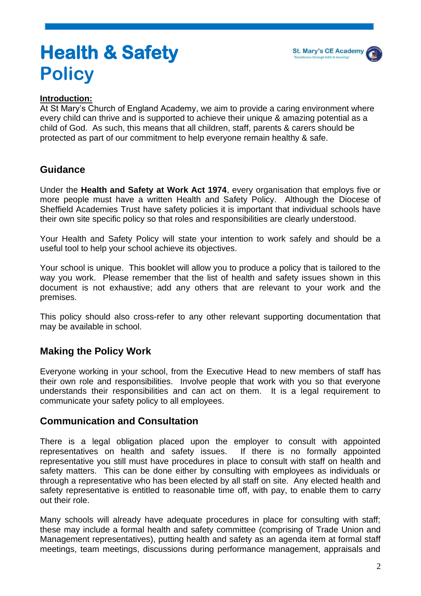

### **Health & Safety Policy**

#### **Introduction:**

At St Mary's Church of England Academy, we aim to provide a caring environment where every child can thrive and is supported to achieve their unique & amazing potential as a child of God. As such, this means that all children, staff, parents & carers should be protected as part of our commitment to help everyone remain healthy & safe.

#### **Guidance**

Under the **Health and Safety at Work Act 1974**, every organisation that employs five or more people must have a written Health and Safety Policy. Although the Diocese of Sheffield Academies Trust have safety policies it is important that individual schools have their own site specific policy so that roles and responsibilities are clearly understood.

Your Health and Safety Policy will state your intention to work safely and should be a useful tool to help your school achieve its objectives.

Your school is unique. This booklet will allow you to produce a policy that is tailored to the way you work. Please remember that the list of health and safety issues shown in this document is not exhaustive; add any others that are relevant to your work and the premises.

This policy should also cross-refer to any other relevant supporting documentation that may be available in school.

#### **Making the Policy Work**

Everyone working in your school, from the Executive Head to new members of staff has their own role and responsibilities. Involve people that work with you so that everyone understands their responsibilities and can act on them. It is a legal requirement to communicate your safety policy to all employees.

#### **Communication and Consultation**

There is a legal obligation placed upon the employer to consult with appointed representatives on health and safety issues. If there is no formally appointed representative you still must have procedures in place to consult with staff on health and safety matters. This can be done either by consulting with employees as individuals or through a representative who has been elected by all staff on site. Any elected health and safety representative is entitled to reasonable time off, with pay, to enable them to carry out their role.

Many schools will already have adequate procedures in place for consulting with staff; these may include a formal health and safety committee (comprising of Trade Union and Management representatives), putting health and safety as an agenda item at formal staff meetings, team meetings, discussions during performance management, appraisals and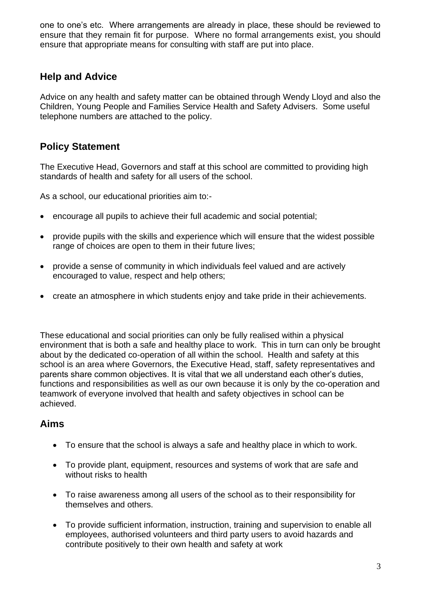one to one's etc. Where arrangements are already in place, these should be reviewed to ensure that they remain fit for purpose. Where no formal arrangements exist, you should ensure that appropriate means for consulting with staff are put into place.

#### **Help and Advice**

Advice on any health and safety matter can be obtained through Wendy Lloyd and also the Children, Young People and Families Service Health and Safety Advisers. Some useful telephone numbers are attached to the policy.

#### **Policy Statement**

The Executive Head, Governors and staff at this school are committed to providing high standards of health and safety for all users of the school.

As a school, our educational priorities aim to:-

- encourage all pupils to achieve their full academic and social potential;
- provide pupils with the skills and experience which will ensure that the widest possible range of choices are open to them in their future lives;
- provide a sense of community in which individuals feel valued and are actively encouraged to value, respect and help others;
- create an atmosphere in which students enjoy and take pride in their achievements.

These educational and social priorities can only be fully realised within a physical environment that is both a safe and healthy place to work. This in turn can only be brought about by the dedicated co-operation of all within the school. Health and safety at this school is an area where Governors, the Executive Head, staff, safety representatives and parents share common objectives. It is vital that we all understand each other's duties, functions and responsibilities as well as our own because it is only by the co-operation and teamwork of everyone involved that health and safety objectives in school can be achieved.

#### **Aims**

- To ensure that the school is always a safe and healthy place in which to work.
- To provide plant, equipment, resources and systems of work that are safe and without risks to health
- To raise awareness among all users of the school as to their responsibility for themselves and others.
- To provide sufficient information, instruction, training and supervision to enable all employees, authorised volunteers and third party users to avoid hazards and contribute positively to their own health and safety at work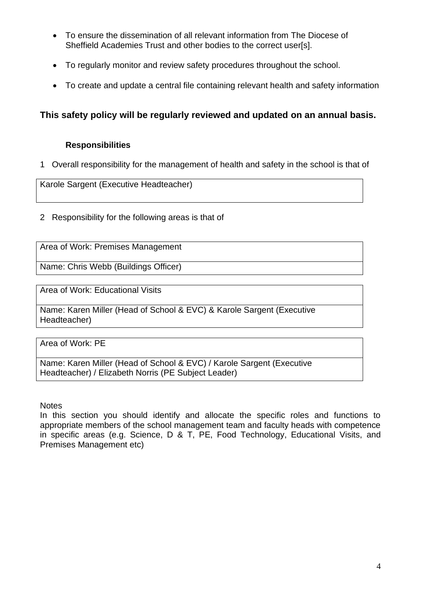- To ensure the dissemination of all relevant information from The Diocese of Sheffield Academies Trust and other bodies to the correct user[s].
- To regularly monitor and review safety procedures throughout the school.
- To create and update a central file containing relevant health and safety information

#### **This safety policy will be regularly reviewed and updated on an annual basis.**

#### **Responsibilities**

1 Overall responsibility for the management of health and safety in the school is that of

Karole Sargent (Executive Headteacher)

2 Responsibility for the following areas is that of

Area of Work: Premises Management

Name: Chris Webb (Buildings Officer)

Area of Work: Educational Visits

Name: Karen Miller (Head of School & EVC) & Karole Sargent (Executive Headteacher)

Area of Work: PE

Name: Karen Miller (Head of School & EVC) / Karole Sargent (Executive Headteacher) / Elizabeth Norris (PE Subject Leader)

**Notes** 

In this section you should identify and allocate the specific roles and functions to appropriate members of the school management team and faculty heads with competence in specific areas (e.g. Science, D & T, PE, Food Technology, Educational Visits, and Premises Management etc)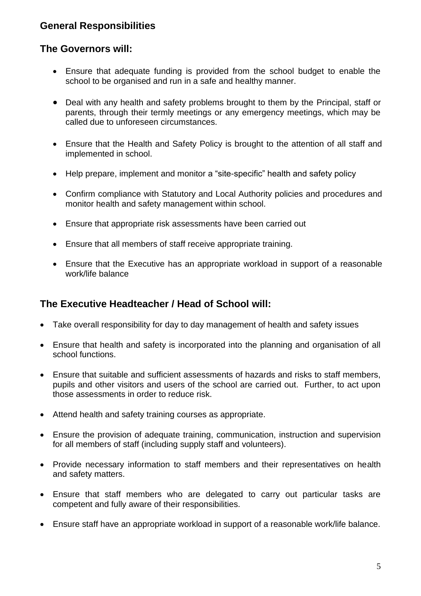#### **General Responsibilities**

#### **The Governors will:**

- Ensure that adequate funding is provided from the school budget to enable the school to be organised and run in a safe and healthy manner.
- Deal with any health and safety problems brought to them by the Principal, staff or parents, through their termly meetings or any emergency meetings, which may be called due to unforeseen circumstances.
- Ensure that the Health and Safety Policy is brought to the attention of all staff and implemented in school.
- Help prepare, implement and monitor a "site-specific" health and safety policy
- Confirm compliance with Statutory and Local Authority policies and procedures and monitor health and safety management within school.
- Ensure that appropriate risk assessments have been carried out
- Ensure that all members of staff receive appropriate training.
- Ensure that the Executive has an appropriate workload in support of a reasonable work/life balance

#### **The Executive Headteacher / Head of School will:**

- Take overall responsibility for day to day management of health and safety issues
- Ensure that health and safety is incorporated into the planning and organisation of all school functions.
- Ensure that suitable and sufficient assessments of hazards and risks to staff members, pupils and other visitors and users of the school are carried out. Further, to act upon those assessments in order to reduce risk.
- Attend health and safety training courses as appropriate.
- Ensure the provision of adequate training, communication, instruction and supervision for all members of staff (including supply staff and volunteers).
- Provide necessary information to staff members and their representatives on health and safety matters.
- Ensure that staff members who are delegated to carry out particular tasks are competent and fully aware of their responsibilities.
- Ensure staff have an appropriate workload in support of a reasonable work/life balance.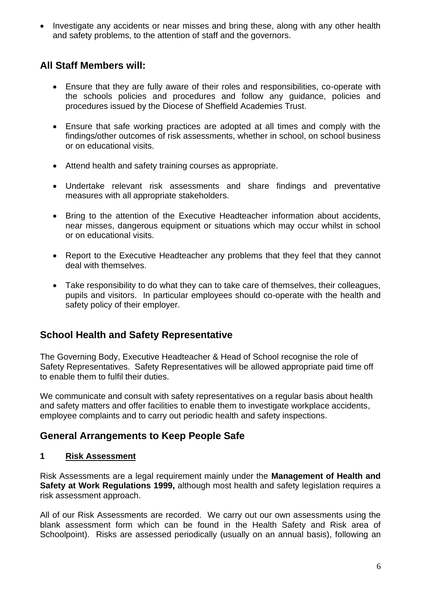• Investigate any accidents or near misses and bring these, along with any other health and safety problems, to the attention of staff and the governors.

#### **All Staff Members will:**

- Ensure that they are fully aware of their roles and responsibilities, co-operate with the schools policies and procedures and follow any guidance, policies and procedures issued by the Diocese of Sheffield Academies Trust.
- Ensure that safe working practices are adopted at all times and comply with the findings/other outcomes of risk assessments, whether in school, on school business or on educational visits.
- Attend health and safety training courses as appropriate.
- Undertake relevant risk assessments and share findings and preventative measures with all appropriate stakeholders.
- Bring to the attention of the Executive Headteacher information about accidents, near misses, dangerous equipment or situations which may occur whilst in school or on educational visits.
- Report to the Executive Headteacher any problems that they feel that they cannot deal with themselves.
- Take responsibility to do what they can to take care of themselves, their colleagues, pupils and visitors. In particular employees should co-operate with the health and safety policy of their employer.

#### **School Health and Safety Representative**

The Governing Body, Executive Headteacher & Head of School recognise the role of Safety Representatives. Safety Representatives will be allowed appropriate paid time off to enable them to fulfil their duties.

We communicate and consult with safety representatives on a regular basis about health and safety matters and offer facilities to enable them to investigate workplace accidents, employee complaints and to carry out periodic health and safety inspections.

#### **General Arrangements to Keep People Safe**

#### **1 Risk Assessment**

Risk Assessments are a legal requirement mainly under the **Management of Health and Safety at Work Regulations 1999,** although most health and safety legislation requires a risk assessment approach.

All of our Risk Assessments are recorded. We carry out our own assessments using the blank assessment form which can be found in the Health Safety and Risk area of Schoolpoint). Risks are assessed periodically (usually on an annual basis), following an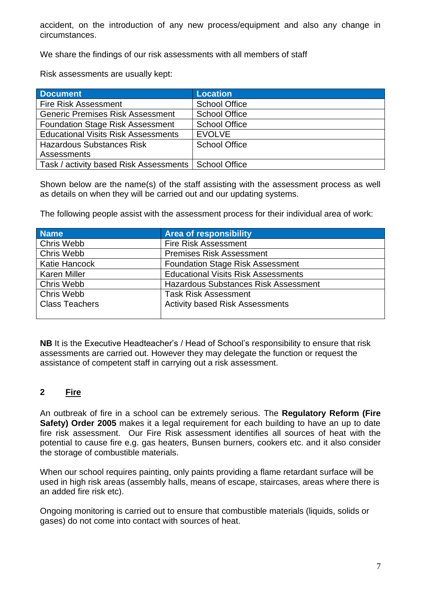accident, on the introduction of any new process/equipment and also any change in circumstances.

We share the findings of our risk assessments with all members of staff

Risk assessments are usually kept:

| <b>Document</b>                                        | <b>Location</b>      |
|--------------------------------------------------------|----------------------|
| <b>Fire Risk Assessment</b>                            | <b>School Office</b> |
| <b>Generic Premises Risk Assessment</b>                | <b>School Office</b> |
| <b>Foundation Stage Risk Assessment</b>                | <b>School Office</b> |
| <b>Educational Visits Risk Assessments</b>             | <b>EVOLVE</b>        |
| <b>Hazardous Substances Risk</b>                       | <b>School Office</b> |
| <b>Assessments</b>                                     |                      |
| Task / activity based Risk Assessments   School Office |                      |

Shown below are the name(s) of the staff assisting with the assessment process as well as details on when they will be carried out and our updating systems.

The following people assist with the assessment process for their individual area of work:

| <b>Name</b>           | <b>Area of responsibility</b>               |
|-----------------------|---------------------------------------------|
| Chris Webb            | <b>Fire Risk Assessment</b>                 |
| Chris Webb            | <b>Premises Risk Assessment</b>             |
| <b>Katie Hancock</b>  | <b>Foundation Stage Risk Assessment</b>     |
| <b>Karen Miller</b>   | <b>Educational Visits Risk Assessments</b>  |
| Chris Webb            | <b>Hazardous Substances Risk Assessment</b> |
| Chris Webb            | <b>Task Risk Assessment</b>                 |
| <b>Class Teachers</b> | <b>Activity based Risk Assessments</b>      |
|                       |                                             |

**NB** It is the Executive Headteacher's / Head of School's responsibility to ensure that risk assessments are carried out. However they may delegate the function or request the assistance of competent staff in carrying out a risk assessment.

#### **2 Fire**

An outbreak of fire in a school can be extremely serious. The **Regulatory Reform (Fire Safety) Order 2005** makes it a legal requirement for each building to have an up to date fire risk assessment. Our Fire Risk assessment identifies all sources of heat with the potential to cause fire e.g. gas heaters, Bunsen burners, cookers etc. and it also consider the storage of combustible materials.

When our school requires painting, only paints providing a flame retardant surface will be used in high risk areas (assembly halls, means of escape, staircases, areas where there is an added fire risk etc).

Ongoing monitoring is carried out to ensure that combustible materials (liquids, solids or gases) do not come into contact with sources of heat.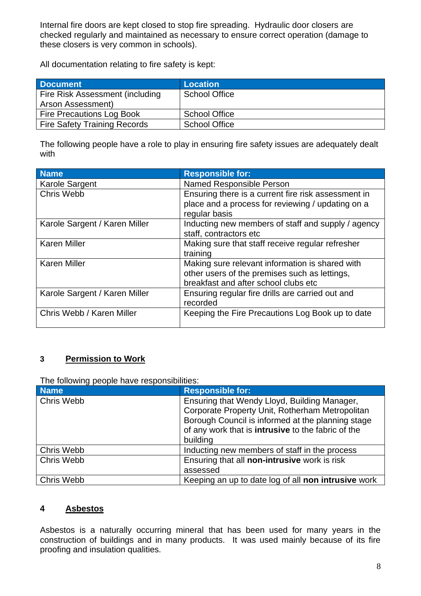Internal fire doors are kept closed to stop fire spreading. Hydraulic door closers are checked regularly and maintained as necessary to ensure correct operation (damage to these closers is very common in schools).

All documentation relating to fire safety is kept:

| <b>Document</b>                     | <b>Location</b>      |
|-------------------------------------|----------------------|
| Fire Risk Assessment (including     | <b>School Office</b> |
| Arson Assessment)                   |                      |
| Fire Precautions Log Book           | <b>School Office</b> |
| <b>Fire Safety Training Records</b> | <b>School Office</b> |

The following people have a role to play in ensuring fire safety issues are adequately dealt with

| <b>Name</b>                   | <b>Responsible for:</b>                             |
|-------------------------------|-----------------------------------------------------|
| Karole Sargent                | Named Responsible Person                            |
| Chris Webb                    | Ensuring there is a current fire risk assessment in |
|                               | place and a process for reviewing / updating on a   |
|                               | regular basis                                       |
| Karole Sargent / Karen Miller | Inducting new members of staff and supply / agency  |
|                               | staff, contractors etc                              |
| <b>Karen Miller</b>           | Making sure that staff receive regular refresher    |
|                               | training                                            |
| <b>Karen Miller</b>           | Making sure relevant information is shared with     |
|                               | other users of the premises such as lettings,       |
|                               | breakfast and after school clubs etc                |
| Karole Sargent / Karen Miller | Ensuring regular fire drills are carried out and    |
|                               | recorded                                            |
| Chris Webb / Karen Miller     | Keeping the Fire Precautions Log Book up to date    |
|                               |                                                     |

#### **3 Permission to Work**

The following people have responsibilities:

| <b>Name</b>       | <b>Responsible for:</b>                                   |
|-------------------|-----------------------------------------------------------|
| Chris Webb        | Ensuring that Wendy Lloyd, Building Manager,              |
|                   | Corporate Property Unit, Rotherham Metropolitan           |
|                   | Borough Council is informed at the planning stage         |
|                   | of any work that is <b>intrusive</b> to the fabric of the |
|                   | building                                                  |
| Chris Webb        | Inducting new members of staff in the process             |
| Chris Webb        | Ensuring that all non-intrusive work is risk              |
|                   | assessed                                                  |
| <b>Chris Webb</b> | Keeping an up to date log of all non intrusive work       |

#### **4 Asbestos**

Asbestos is a naturally occurring mineral that has been used for many years in the construction of buildings and in many products. It was used mainly because of its fire proofing and insulation qualities.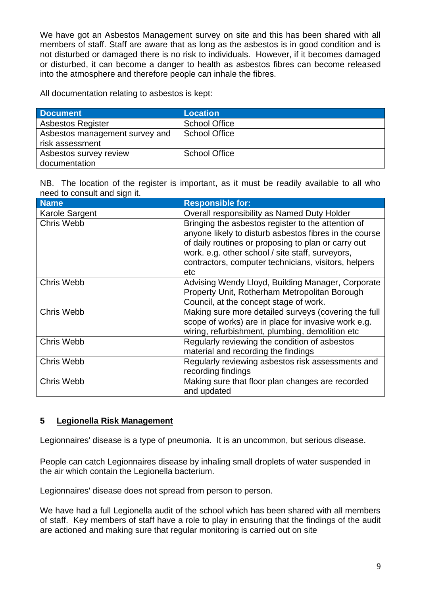We have got an Asbestos Management survey on site and this has been shared with all members of staff. Staff are aware that as long as the asbestos is in good condition and is not disturbed or damaged there is no risk to individuals. However, if it becomes damaged or disturbed, it can become a danger to health as asbestos fibres can become released into the atmosphere and therefore people can inhale the fibres.

All documentation relating to asbestos is kept:

| <b>Document</b>                | <b>Location</b>      |
|--------------------------------|----------------------|
| <b>Asbestos Register</b>       | <b>School Office</b> |
| Asbestos management survey and | <b>School Office</b> |
| risk assessment                |                      |
| Asbestos survey review         | <b>School Office</b> |
| documentation                  |                      |

NB. The location of the register is important, as it must be readily available to all who need to consult and sign it.

| <b>Name</b>    | <b>Responsible for:</b>                                |
|----------------|--------------------------------------------------------|
| Karole Sargent | Overall responsibility as Named Duty Holder            |
| Chris Webb     | Bringing the asbestos register to the attention of     |
|                | anyone likely to disturb asbestos fibres in the course |
|                | of daily routines or proposing to plan or carry out    |
|                | work. e.g. other school / site staff, surveyors,       |
|                | contractors, computer technicians, visitors, helpers   |
|                | etc                                                    |
| Chris Webb     | Advising Wendy Lloyd, Building Manager, Corporate      |
|                | Property Unit, Rotherham Metropolitan Borough          |
|                | Council, at the concept stage of work.                 |
| Chris Webb     | Making sure more detailed surveys (covering the full   |
|                | scope of works) are in place for invasive work e.g.    |
|                | wiring, refurbishment, plumbing, demolition etc        |
| Chris Webb     | Regularly reviewing the condition of asbestos          |
|                | material and recording the findings                    |
| Chris Webb     | Regularly reviewing asbestos risk assessments and      |
|                | recording findings                                     |
| Chris Webb     | Making sure that floor plan changes are recorded       |
|                | and updated                                            |

#### **5 Legionella Risk Management**

Legionnaires' disease is a type of pneumonia. It is an uncommon, but serious disease.

People can catch Legionnaires disease by inhaling small droplets of water suspended in the air which contain the Legionella bacterium.

Legionnaires' disease does not spread from person to person.

We have had a full Legionella audit of the school which has been shared with all members of staff. Key members of staff have a role to play in ensuring that the findings of the audit are actioned and making sure that regular monitoring is carried out on site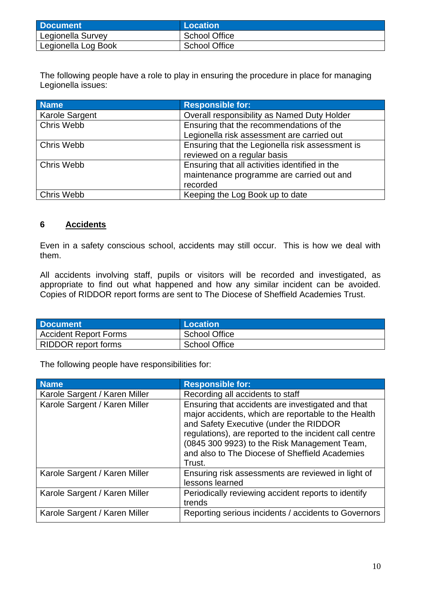| <b>Document</b>     | Location             |
|---------------------|----------------------|
| Legionella Survey   | <b>School Office</b> |
| Legionella Log Book | <b>School Office</b> |

The following people have a role to play in ensuring the procedure in place for managing Legionella issues:

| <b>Name</b>           | <b>Responsible for:</b>                         |
|-----------------------|-------------------------------------------------|
| <b>Karole Sargent</b> | Overall responsibility as Named Duty Holder     |
| <b>Chris Webb</b>     | Ensuring that the recommendations of the        |
|                       | Legionella risk assessment are carried out      |
| <b>Chris Webb</b>     | Ensuring that the Legionella risk assessment is |
|                       | reviewed on a regular basis                     |
| Chris Webb            | Ensuring that all activities identified in the  |
|                       | maintenance programme are carried out and       |
|                       | recorded                                        |
| <b>Chris Webb</b>     | Keeping the Log Book up to date                 |

#### **6 Accidents**

Even in a safety conscious school, accidents may still occur. This is how we deal with them.

All accidents involving staff, pupils or visitors will be recorded and investigated, as appropriate to find out what happened and how any similar incident can be avoided. Copies of RIDDOR report forms are sent to The Diocese of Sheffield Academies Trust.

| <b>Document</b>              | Location             |
|------------------------------|----------------------|
| <b>Accident Report Forms</b> | <b>School Office</b> |
| RIDDOR report forms          | <b>School Office</b> |

| <b>Name</b>                   | <b>Responsible for:</b>                                                                                                                                                                                                                                                                                                  |
|-------------------------------|--------------------------------------------------------------------------------------------------------------------------------------------------------------------------------------------------------------------------------------------------------------------------------------------------------------------------|
| Karole Sargent / Karen Miller | Recording all accidents to staff                                                                                                                                                                                                                                                                                         |
| Karole Sargent / Karen Miller | Ensuring that accidents are investigated and that<br>major accidents, which are reportable to the Health<br>and Safety Executive (under the RIDDOR<br>regulations), are reported to the incident call centre<br>(0845 300 9923) to the Risk Management Team,<br>and also to The Diocese of Sheffield Academies<br>Trust. |
| Karole Sargent / Karen Miller | Ensuring risk assessments are reviewed in light of<br>lessons learned                                                                                                                                                                                                                                                    |
| Karole Sargent / Karen Miller | Periodically reviewing accident reports to identify<br>trends                                                                                                                                                                                                                                                            |
| Karole Sargent / Karen Miller | Reporting serious incidents / accidents to Governors                                                                                                                                                                                                                                                                     |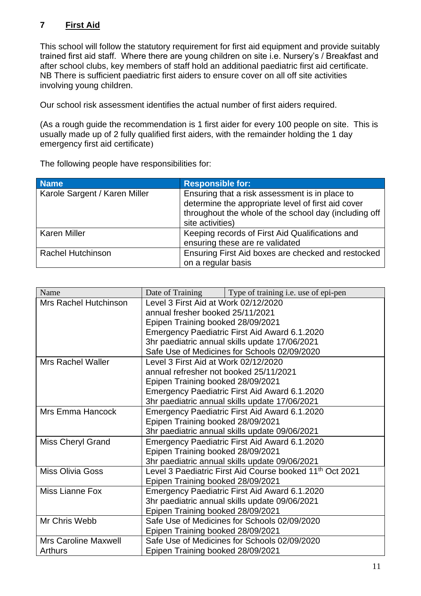#### **7 First Aid**

This school will follow the statutory requirement for first aid equipment and provide suitably trained first aid staff. Where there are young children on site i.e. Nursery's / Breakfast and after school clubs, key members of staff hold an additional paediatric first aid certificate. NB There is sufficient paediatric first aiders to ensure cover on all off site activities involving young children.

Our school risk assessment identifies the actual number of first aiders required.

(As a rough guide the recommendation is 1 first aider for every 100 people on site. This is usually made up of 2 fully qualified first aiders, with the remainder holding the 1 day emergency first aid certificate)

| <b>Name</b>                   | <b>Responsible for:</b>                               |
|-------------------------------|-------------------------------------------------------|
| Karole Sargent / Karen Miller | Ensuring that a risk assessment is in place to        |
|                               | determine the appropriate level of first aid cover    |
|                               | throughout the whole of the school day (including off |
|                               | site activities)                                      |
| <b>Karen Miller</b>           | Keeping records of First Aid Qualifications and       |
|                               | ensuring these are re validated                       |
| <b>Rachel Hutchinson</b>      | Ensuring First Aid boxes are checked and restocked    |
|                               | on a regular basis                                    |

| Name                        | Date of Training                       | Type of training i.e. use of epi-pen                                 |
|-----------------------------|----------------------------------------|----------------------------------------------------------------------|
| Mrs Rachel Hutchinson       | Level 3 First Aid at Work 02/12/2020   |                                                                      |
|                             | annual fresher booked 25/11/2021       |                                                                      |
|                             | Epipen Training booked 28/09/2021      |                                                                      |
|                             |                                        | Emergency Paediatric First Aid Award 6.1.2020                        |
|                             |                                        | 3hr paediatric annual skills update 17/06/2021                       |
|                             |                                        | Safe Use of Medicines for Schools 02/09/2020                         |
| <b>Mrs Rachel Waller</b>    | Level 3 First Aid at Work 02/12/2020   |                                                                      |
|                             | annual refresher not booked 25/11/2021 |                                                                      |
|                             | Epipen Training booked 28/09/2021      |                                                                      |
|                             |                                        | Emergency Paediatric First Aid Award 6.1.2020                        |
|                             |                                        | 3hr paediatric annual skills update 17/06/2021                       |
| Mrs Emma Hancock            |                                        | Emergency Paediatric First Aid Award 6.1.2020                        |
|                             | Epipen Training booked 28/09/2021      |                                                                      |
|                             |                                        | 3hr paediatric annual skills update 09/06/2021                       |
| <b>Miss Cheryl Grand</b>    |                                        | Emergency Paediatric First Aid Award 6.1.2020                        |
|                             | Epipen Training booked 28/09/2021      |                                                                      |
|                             |                                        | 3hr paediatric annual skills update 09/06/2021                       |
| <b>Miss Olivia Goss</b>     |                                        | Level 3 Paediatric First Aid Course booked 11 <sup>th</sup> Oct 2021 |
|                             | Epipen Training booked 28/09/2021      |                                                                      |
| Miss Lianne Fox             |                                        | Emergency Paediatric First Aid Award 6.1.2020                        |
|                             |                                        | 3hr paediatric annual skills update 09/06/2021                       |
|                             | Epipen Training booked 28/09/2021      |                                                                      |
| Mr Chris Webb               |                                        | Safe Use of Medicines for Schools 02/09/2020                         |
|                             | Epipen Training booked 28/09/2021      |                                                                      |
| <b>Mrs Caroline Maxwell</b> |                                        | Safe Use of Medicines for Schools 02/09/2020                         |
| <b>Arthurs</b>              | Epipen Training booked 28/09/2021      |                                                                      |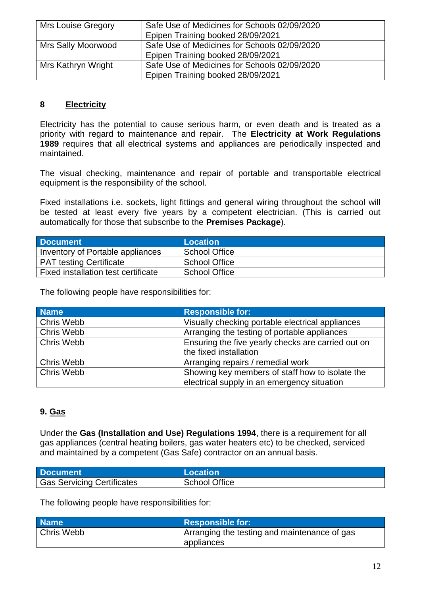| Mrs Louise Gregory | Safe Use of Medicines for Schools 02/09/2020<br>Epipen Training booked 28/09/2021 |
|--------------------|-----------------------------------------------------------------------------------|
| Mrs Sally Moorwood | Safe Use of Medicines for Schools 02/09/2020<br>Epipen Training booked 28/09/2021 |
| Mrs Kathryn Wright | Safe Use of Medicines for Schools 02/09/2020<br>Epipen Training booked 28/09/2021 |

#### **8 Electricity**

Electricity has the potential to cause serious harm, or even death and is treated as a priority with regard to maintenance and repair. The **Electricity at Work Regulations 1989** requires that all electrical systems and appliances are periodically inspected and maintained.

The visual checking, maintenance and repair of portable and transportable electrical equipment is the responsibility of the school.

Fixed installations i.e. sockets, light fittings and general wiring throughout the school will be tested at least every five years by a competent electrician. (This is carried out automatically for those that subscribe to the **Premises Package**).

| <b>Document</b>                     | Location             |
|-------------------------------------|----------------------|
| Inventory of Portable appliances    | School Office        |
| <b>PAT testing Certificate</b>      | <b>School Office</b> |
| Fixed installation test certificate | <b>School Office</b> |

The following people have responsibilities for:

| <b>Name</b>       | <b>Responsible for:</b>                            |
|-------------------|----------------------------------------------------|
| <b>Chris Webb</b> | Visually checking portable electrical appliances   |
| Chris Webb        | Arranging the testing of portable appliances       |
| <b>Chris Webb</b> | Ensuring the five yearly checks are carried out on |
|                   | the fixed installation                             |
| <b>Chris Webb</b> | Arranging repairs / remedial work                  |
| Chris Webb        | Showing key members of staff how to isolate the    |
|                   | electrical supply in an emergency situation        |

#### **9. Gas**

Under the **Gas (Installation and Use) Regulations 1994**, there is a requirement for all gas appliances (central heating boilers, gas water heaters etc) to be checked, serviced and maintained by a competent (Gas Safe) contractor on an annual basis.

| <b>Document</b>                   | <b>Location</b>      |
|-----------------------------------|----------------------|
| <b>Gas Servicing Certificates</b> | <b>School Office</b> |

| <b>Name</b> | <b>Responsible for:</b>                      |
|-------------|----------------------------------------------|
| Chris Webb  | Arranging the testing and maintenance of gas |
|             | appliances                                   |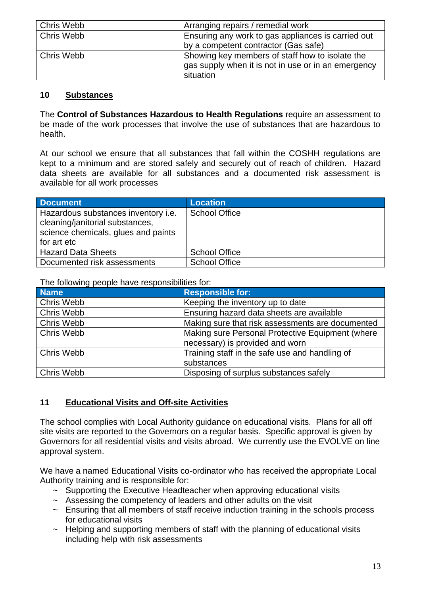| Chris Webb | Arranging repairs / remedial work                   |
|------------|-----------------------------------------------------|
| Chris Webb | Ensuring any work to gas appliances is carried out  |
|            | by a competent contractor (Gas safe)                |
| Chris Webb | Showing key members of staff how to isolate the     |
|            | gas supply when it is not in use or in an emergency |
|            | situation                                           |

#### **10 Substances**

The **Control of Substances Hazardous to Health Regulations** require an assessment to be made of the work processes that involve the use of substances that are hazardous to health.

At our school we ensure that all substances that fall within the COSHH regulations are kept to a minimum and are stored safely and securely out of reach of children. Hazard data sheets are available for all substances and a documented risk assessment is available for all work processes

| <b>Document</b>                                                                                                              | <b>Location</b>      |
|------------------------------------------------------------------------------------------------------------------------------|----------------------|
| Hazardous substances inventory i.e.<br>cleaning/janitorial substances,<br>science chemicals, glues and paints<br>for art etc | <b>School Office</b> |
| <b>Hazard Data Sheets</b>                                                                                                    | <b>School Office</b> |
| Documented risk assessments                                                                                                  | <b>School Office</b> |

The following people have responsibilities for:

| <b>Name</b>       | <b>Responsible for:</b>                          |
|-------------------|--------------------------------------------------|
| Chris Webb        | Keeping the inventory up to date                 |
| Chris Webb        | Ensuring hazard data sheets are available        |
| Chris Webb        | Making sure that risk assessments are documented |
| Chris Webb        | Making sure Personal Protective Equipment (where |
|                   | necessary) is provided and worn                  |
| <b>Chris Webb</b> | Training staff in the safe use and handling of   |
|                   | substances                                       |
| <b>Chris Webb</b> | Disposing of surplus substances safely           |

#### **11 Educational Visits and Off-site Activities**

The school complies with Local Authority guidance on educational visits. Plans for all off site visits are reported to the Governors on a regular basis. Specific approval is given by Governors for all residential visits and visits abroad. We currently use the EVOLVE on line approval system.

We have a named Educational Visits co-ordinator who has received the appropriate Local Authority training and is responsible for:

- $\sim$  Supporting the Executive Headteacher when approving educational visits
- ~ Assessing the competency of leaders and other adults on the visit
- $\sim$  Ensuring that all members of staff receive induction training in the schools process for educational visits
- $\sim$  Helping and supporting members of staff with the planning of educational visits including help with risk assessments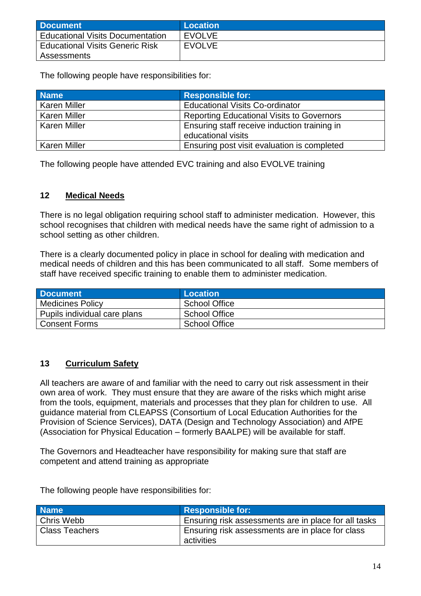| Document                                | Location      |
|-----------------------------------------|---------------|
| <b>Educational Visits Documentation</b> | <b>EVOLVE</b> |
| <b>Educational Visits Generic Risk</b>  | <b>EVOLVE</b> |
| Assessments                             |               |

The following people have responsibilities for:

| <b>Name</b>         | <b>Responsible for:</b>                          |
|---------------------|--------------------------------------------------|
| <b>Karen Miller</b> | <b>Educational Visits Co-ordinator</b>           |
| <b>Karen Miller</b> | <b>Reporting Educational Visits to Governors</b> |
| <b>Karen Miller</b> | Ensuring staff receive induction training in     |
|                     | educational visits                               |
| <b>Karen Miller</b> | Ensuring post visit evaluation is completed      |

The following people have attended EVC training and also EVOLVE training

#### **12 Medical Needs**

There is no legal obligation requiring school staff to administer medication. However, this school recognises that children with medical needs have the same right of admission to a school setting as other children.

There is a clearly documented policy in place in school for dealing with medication and medical needs of children and this has been communicated to all staff. Some members of staff have received specific training to enable them to administer medication.

| <b>Document</b>              | Location             |
|------------------------------|----------------------|
| <b>Medicines Policy</b>      | <b>School Office</b> |
| Pupils individual care plans | School Office        |
| <b>Consent Forms</b>         | <b>School Office</b> |

#### **13 Curriculum Safety**

All teachers are aware of and familiar with the need to carry out risk assessment in their own area of work. They must ensure that they are aware of the risks which might arise from the tools, equipment, materials and processes that they plan for children to use. All guidance material from CLEAPSS (Consortium of Local Education Authorities for the Provision of Science Services), DATA (Design and Technology Association) and AfPE (Association for Physical Education – formerly BAALPE) will be available for staff.

The Governors and Headteacher have responsibility for making sure that staff are competent and attend training as appropriate

| <b>Name</b>           | <b>Responsible for:</b>                                        |
|-----------------------|----------------------------------------------------------------|
| Chris Webb            | Ensuring risk assessments are in place for all tasks           |
| <b>Class Teachers</b> | Ensuring risk assessments are in place for class<br>activities |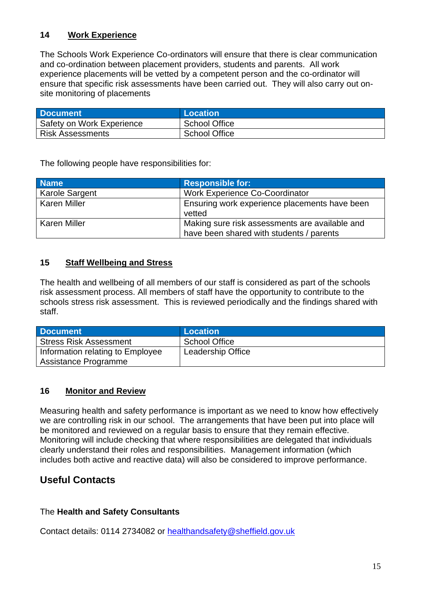#### **14 Work Experience**

The Schools Work Experience Co-ordinators will ensure that there is clear communication and co-ordination between placement providers, students and parents. All work experience placements will be vetted by a competent person and the co-ordinator will ensure that specific risk assessments have been carried out. They will also carry out onsite monitoring of placements

| <b>Document</b>           | <b>Location</b> \    |
|---------------------------|----------------------|
| Safety on Work Experience | School Office        |
| <b>Risk Assessments</b>   | <b>School Office</b> |

The following people have responsibilities for:

| <b>Name</b>         | <b>Responsible for:</b>                                 |
|---------------------|---------------------------------------------------------|
| Karole Sargent      | <b>Work Experience Co-Coordinator</b>                   |
| <b>Karen Miller</b> | Ensuring work experience placements have been<br>vetted |
| <b>Karen Miller</b> | Making sure risk assessments are available and          |
|                     | have been shared with students / parents                |

#### **15 Staff Wellbeing and Stress**

The health and wellbeing of all members of our staff is considered as part of the schools risk assessment process. All members of staff have the opportunity to contribute to the schools stress risk assessment. This is reviewed periodically and the findings shared with staff.

| <b>Document</b>                  | <b>Location</b>          |
|----------------------------------|--------------------------|
| <b>Stress Risk Assessment</b>    | <b>School Office</b>     |
| Information relating to Employee | <b>Leadership Office</b> |
| Assistance Programme             |                          |

#### **16 Monitor and Review**

Measuring health and safety performance is important as we need to know how effectively we are controlling risk in our school. The arrangements that have been put into place will be monitored and reviewed on a regular basis to ensure that they remain effective. Monitoring will include checking that where responsibilities are delegated that individuals clearly understand their roles and responsibilities. Management information (which includes both active and reactive data) will also be considered to improve performance.

#### **Useful Contacts**

#### The **Health and Safety Consultants**

Contact details: 0114 2734082 or [healthandsafety@sheffield.gov.uk](mailto:healthandsafety@sheffield.gov.uk)